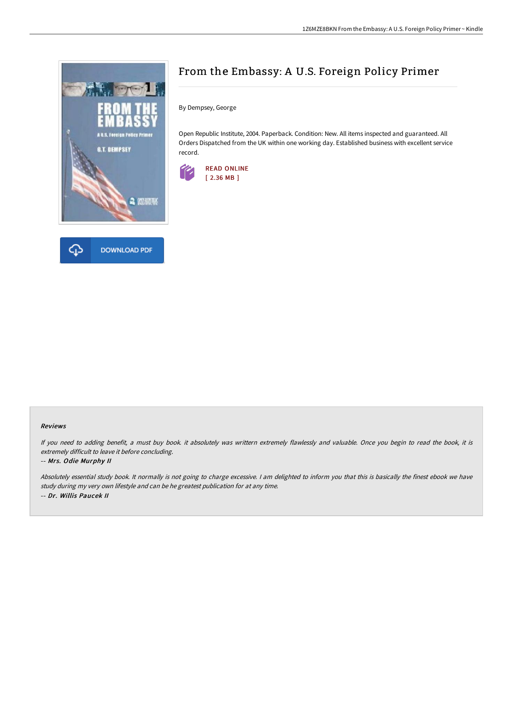



## From the Embassy: A U.S. Foreign Policy Primer

By Dempsey, George

Open Republic Institute, 2004. Paperback. Condition: New. All items inspected and guaranteed. All Orders Dispatched from the UK within one working day. Established business with excellent service record.



## Reviews

If you need to adding benefit, <sup>a</sup> must buy book. it absolutely was writtern extremely flawlessly and valuable. Once you begin to read the book, it is extremely difficult to leave it before concluding.

## -- Mrs. Odie Murphy II

Absolutely essential study book. It normally is not going to charge excessive. <sup>I</sup> am delighted to inform you that this is basically the finest ebook we have study during my very own lifestyle and can be he greatest publication for at any time. -- Dr. Willis Paucek II